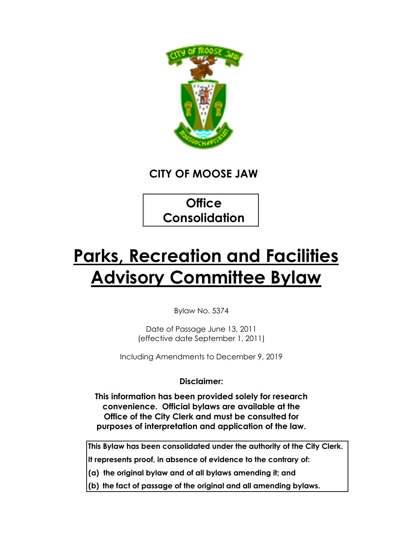

# **CITY OF MOOSE JAW**

**Office Consolidation**

# **Parks, Recreation and Facilities Advisory Committee Bylaw**

Bylaw No. 5374

Date of Passage June 13, 2011 (effective date September 1, 2011)

Including Amendments to December 9, 2019

**Disclaimer:**

**This information has been provided solely for research convenience. Official bylaws are available at the Office of the City Clerk and must be consulted for purposes of interpretation and application of the law.**

**This Bylaw has been consolidated under the authority of the City Clerk.**

**It represents proof, in absence of evidence to the contrary of:**

**(a) the original bylaw and of all bylaws amending it; and**

**(b) the fact of passage of the original and all amending bylaws.**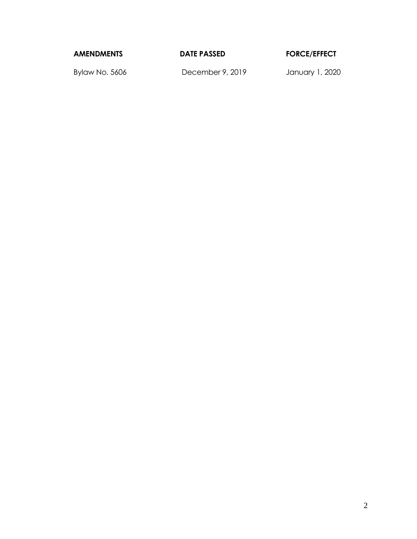**AMENDMENTS DATE PASSED FORCE/EFFECT**

Bylaw No. 5606 December 9, 2019 January 1, 2020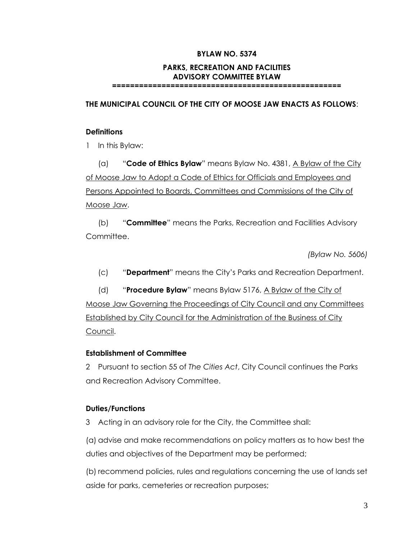#### **BYLAW NO. 5374**

#### **PARKS, RECREATION AND FACILITIES ADVISORY COMMITTEE BYLAW**

**===================================================**

**THE MUNICIPAL COUNCIL OF THE CITY OF MOOSE JAW ENACTS AS FOLLOWS**:

#### **Definitions**

1 In this Bylaw:

(a) "**Code of Ethics Bylaw**" means Bylaw No. 4381, A Bylaw of the City of Moose Jaw to Adopt a Code of Ethics for Officials and Employees and Persons Appointed to Boards, Committees and Commissions of the City of Moose Jaw.

(b) "**Committee**" means the Parks, Recreation and Facilities Advisory Committee.

*(Bylaw No. 5606)*

(c) "**Department**" means the City's Parks and Recreation Department.

(d) "**Procedure Bylaw**" means Bylaw 5176, A Bylaw of the City of Moose Jaw Governing the Proceedings of City Council and any Committees Established by City Council for the Administration of the Business of City Council.

#### **Establishment of Committee**

2 Pursuant to section 55 of *The Cities Act*, City Council continues the Parks and Recreation Advisory Committee.

#### **Duties/Functions**

3 Acting in an advisory role for the City, the Committee shall:

(a) advise and make recommendations on policy matters as to how best the duties and objectives of the Department may be performed;

(b) recommend policies, rules and regulations concerning the use of lands set aside for parks, cemeteries or recreation purposes;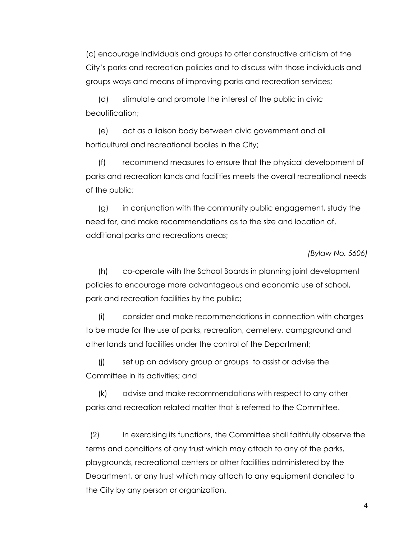(c) encourage individuals and groups to offer constructive criticism of the City's parks and recreation policies and to discuss with those individuals and groups ways and means of improving parks and recreation services;

(d) stimulate and promote the interest of the public in civic beautification;

(e) act as a liaison body between civic government and all horticultural and recreational bodies in the City;

(f) recommend measures to ensure that the physical development of parks and recreation lands and facilities meets the overall recreational needs of the public;

(g) in conjunction with the community public engagement, study the need for, and make recommendations as to the size and location of, additional parks and recreations areas;

*(Bylaw No. 5606)* 

(h) co-operate with the School Boards in planning joint development policies to encourage more advantageous and economic use of school, park and recreation facilities by the public;

(i) consider and make recommendations in connection with charges to be made for the use of parks, recreation, cemetery, campground and other lands and facilities under the control of the Department;

(j) set up an advisory group or groups to assist or advise the Committee in its activities; and

(k) advise and make recommendations with respect to any other parks and recreation related matter that is referred to the Committee.

 (2) In exercising its functions, the Committee shall faithfully observe the terms and conditions of any trust which may attach to any of the parks, playgrounds, recreational centers or other facilities administered by the Department, or any trust which may attach to any equipment donated to the City by any person or organization.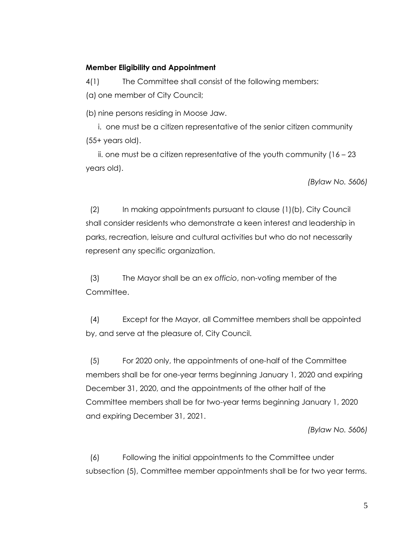#### **Member Eligibility and Appointment**

4(1) The Committee shall consist of the following members:

(a) one member of City Council;

(b) nine persons residing in Moose Jaw.

i. one must be a citizen representative of the senior citizen community (55+ years old).

ii. one must be a citizen representative of the youth community  $(16 - 23)$ years old).

*(Bylaw No. 5606)*

 (2) In making appointments pursuant to clause (1)(b), City Council shall consider residents who demonstrate a keen interest and leadership in parks, recreation, leisure and cultural activities but who do not necessarily represent any specific organization.

 (3) The Mayor shall be an *ex officio*, non-voting member of the Committee.

 (4) Except for the Mayor, all Committee members shall be appointed by, and serve at the pleasure of, City Council.

 (5) For 2020 only, the appointments of one-half of the Committee members shall be for one-year terms beginning January 1, 2020 and expiring December 31, 2020, and the appointments of the other half of the Committee members shall be for two-year terms beginning January 1, 2020 and expiring December 31, 2021.

*(Bylaw No. 5606)*

 (6) Following the initial appointments to the Committee under subsection (5), Committee member appointments shall be for two year terms.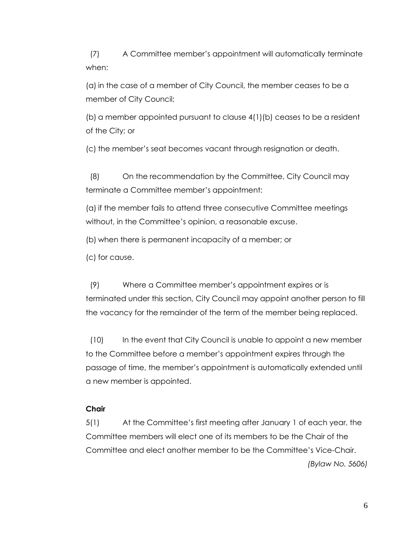(7) A Committee member's appointment will automatically terminate when:

(a) in the case of a member of City Council, the member ceases to be a member of City Council;

(b) a member appointed pursuant to clause 4(1)(b) ceases to be a resident of the City; or

(c) the member's seat becomes vacant through resignation or death.

 (8) On the recommendation by the Committee, City Council may terminate a Committee member's appointment:

(a) if the member fails to attend three consecutive Committee meetings without, in the Committee's opinion, a reasonable excuse.

(b) when there is permanent incapacity of a member; or

(c) for cause.

 (9) Where a Committee member's appointment expires or is terminated under this section, City Council may appoint another person to fill the vacancy for the remainder of the term of the member being replaced.

 (10) In the event that City Council is unable to appoint a new member to the Committee before a member's appointment expires through the passage of time, the member's appointment is automatically extended until a new member is appointed.

#### **Chair**

5(1) At the Committee's first meeting after January 1 of each year, the Committee members will elect one of its members to be the Chair of the Committee and elect another member to be the Committee's Vice-Chair. *(Bylaw No. 5606)*

6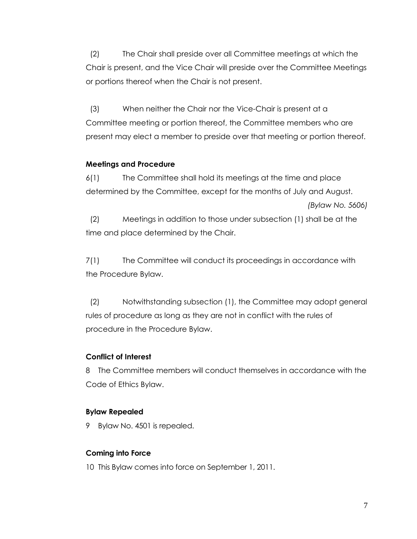(2) The Chair shall preside over all Committee meetings at which the Chair is present, and the Vice Chair will preside over the Committee Meetings or portions thereof when the Chair is not present.

 (3) When neither the Chair nor the Vice-Chair is present at a Committee meeting or portion thereof, the Committee members who are present may elect a member to preside over that meeting or portion thereof.

### **Meetings and Procedure**

6(1) The Committee shall hold its meetings at the time and place determined by the Committee, except for the months of July and August.

```
(Bylaw No. 5606)
```
 (2) Meetings in addition to those under subsection (1) shall be at the time and place determined by the Chair.

7(1) The Committee will conduct its proceedings in accordance with the Procedure Bylaw.

 (2) Notwithstanding subsection (1), the Committee may adopt general rules of procedure as long as they are not in conflict with the rules of procedure in the Procedure Bylaw.

# **Conflict of Interest**

8 The Committee members will conduct themselves in accordance with the Code of Ethics Bylaw.

# **Bylaw Repealed**

9 Bylaw No. 4501 is repealed.

# **Coming into Force**

10 This Bylaw comes into force on September 1, 2011.